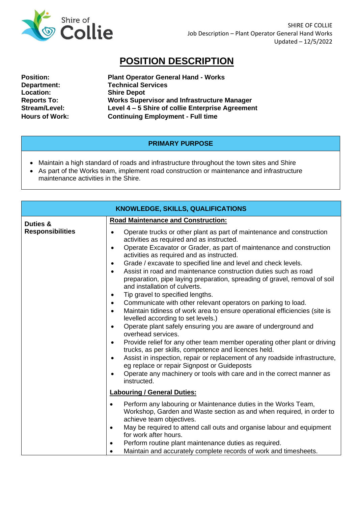

## **POSITION DESCRIPTION**

| <b>Position:</b>      |
|-----------------------|
| Department:           |
| <b>Location:</b>      |
| <b>Reports To:</b>    |
| Stream/Level:         |
| <b>Hours of Work:</b> |

**Plant Operator General Hand - Works Technical Services Shire Depot Reports To: Works Supervisor and Infrastructure Manager Stream/Level: Level 4 – 5 Shire of collie Enterprise Agreement Continuing Employment - Full time** 

## **PRIMARY PURPOSE**

- Maintain a high standard of roads and infrastructure throughout the town sites and Shire
- As part of the Works team, implement road construction or maintenance and infrastructure maintenance activities in the Shire.

| <b>KNOWLEDGE, SKILLS, QUALIFICATIONS</b> |                                                                                                                                                                                                                                                                                                                                                                                                                                                                                                                                                                                                                                                                                                                                                             |  |
|------------------------------------------|-------------------------------------------------------------------------------------------------------------------------------------------------------------------------------------------------------------------------------------------------------------------------------------------------------------------------------------------------------------------------------------------------------------------------------------------------------------------------------------------------------------------------------------------------------------------------------------------------------------------------------------------------------------------------------------------------------------------------------------------------------------|--|
| Duties &<br><b>Responsibilities</b>      | <b>Road Maintenance and Construction:</b><br>Operate trucks or other plant as part of maintenance and construction<br>$\bullet$<br>activities as required and as instructed.<br>Operate Excavator or Grader, as part of maintenance and construction<br>$\bullet$<br>activities as required and as instructed.<br>Grade / excavate to specified line and level and check levels.<br>$\bullet$<br>Assist in road and maintenance construction duties such as road<br>$\bullet$<br>preparation, pipe laying preparation, spreading of gravel, removal of soil<br>and installation of culverts.                                                                                                                                                                |  |
|                                          | Tip gravel to specified lengths.<br>٠<br>Communicate with other relevant operators on parking to load.<br>$\bullet$<br>Maintain tidiness of work area to ensure operational efficiencies (site is<br>$\bullet$<br>levelled according to set levels.)<br>Operate plant safely ensuring you are aware of underground and<br>$\bullet$<br>overhead services.<br>Provide relief for any other team member operating other plant or driving<br>$\bullet$<br>trucks, as per skills, competence and licences held.<br>Assist in inspection, repair or replacement of any roadside infrastructure,<br>$\bullet$<br>eg replace or repair Signpost or Guideposts<br>Operate any machinery or tools with care and in the correct manner as<br>$\bullet$<br>instructed. |  |
|                                          | <b>Labouring / General Duties:</b><br>Perform any labouring or Maintenance duties in the Works Team,<br>Workshop, Garden and Waste section as and when required, in order to<br>achieve team objectives.<br>May be required to attend call outs and organise labour and equipment<br>for work after hours.<br>Perform routine plant maintenance duties as required.<br>$\bullet$<br>Maintain and accurately complete records of work and timesheets.                                                                                                                                                                                                                                                                                                        |  |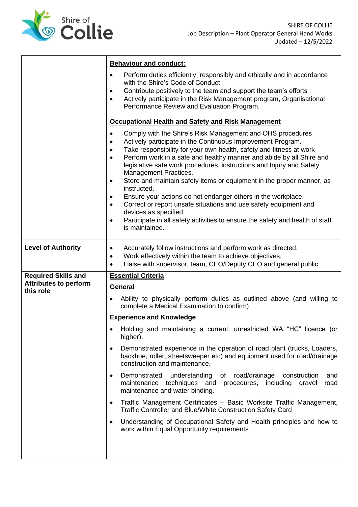

|                                                                         | <b>Behaviour and conduct:</b>                                                                                                                                                                                                                                                                                                                                                                                                                                                                                                                                                                                                                                                                                                                                                                                                     |
|-------------------------------------------------------------------------|-----------------------------------------------------------------------------------------------------------------------------------------------------------------------------------------------------------------------------------------------------------------------------------------------------------------------------------------------------------------------------------------------------------------------------------------------------------------------------------------------------------------------------------------------------------------------------------------------------------------------------------------------------------------------------------------------------------------------------------------------------------------------------------------------------------------------------------|
|                                                                         | Perform duties efficiently, responsibly and ethically and in accordance<br>$\bullet$<br>with the Shire's Code of Conduct.                                                                                                                                                                                                                                                                                                                                                                                                                                                                                                                                                                                                                                                                                                         |
|                                                                         | Contribute positively to the team and support the team's efforts<br>$\bullet$                                                                                                                                                                                                                                                                                                                                                                                                                                                                                                                                                                                                                                                                                                                                                     |
|                                                                         | Actively participate in the Risk Management program, Organisational<br>Performance Review and Evaluation Program.                                                                                                                                                                                                                                                                                                                                                                                                                                                                                                                                                                                                                                                                                                                 |
|                                                                         | <b>Occupational Health and Safety and Risk Management</b>                                                                                                                                                                                                                                                                                                                                                                                                                                                                                                                                                                                                                                                                                                                                                                         |
|                                                                         | Comply with the Shire's Risk Management and OHS procedures<br>$\bullet$<br>Actively participate in the Continuous Improvement Program.<br>$\bullet$<br>Take responsibility for your own health, safety and fitness at work<br>$\bullet$<br>Perform work in a safe and healthy manner and abide by all Shire and<br>$\bullet$<br>legislative safe work procedures, instructions and Injury and Safety<br>Management Practices.<br>Store and maintain safety items or equipment in the proper manner, as<br>$\bullet$<br>instructed.<br>Ensure your actions do not endanger others in the workplace.<br>٠<br>Correct or report unsafe situations and use safety equipment and<br>$\bullet$<br>devices as specified.<br>Participate in all safety activities to ensure the safety and health of staff<br>$\bullet$<br>is maintained. |
| <b>Level of Authority</b>                                               | Accurately follow instructions and perform work as directed.<br>٠<br>Work effectively within the team to achieve objectives.<br>$\bullet$<br>Liaise with supervisor, team, CEO/Deputy CEO and general public.<br>$\bullet$                                                                                                                                                                                                                                                                                                                                                                                                                                                                                                                                                                                                        |
| <b>Required Skills and</b><br><b>Attributes to perform</b><br>this role | <b>Essential Criteria</b>                                                                                                                                                                                                                                                                                                                                                                                                                                                                                                                                                                                                                                                                                                                                                                                                         |
|                                                                         |                                                                                                                                                                                                                                                                                                                                                                                                                                                                                                                                                                                                                                                                                                                                                                                                                                   |
|                                                                         | <b>General</b>                                                                                                                                                                                                                                                                                                                                                                                                                                                                                                                                                                                                                                                                                                                                                                                                                    |
|                                                                         | Ability to physically perform duties as outlined above (and willing to<br>complete a Medical Examination to confirm)                                                                                                                                                                                                                                                                                                                                                                                                                                                                                                                                                                                                                                                                                                              |
|                                                                         | <b>Experience and Knowledge</b>                                                                                                                                                                                                                                                                                                                                                                                                                                                                                                                                                                                                                                                                                                                                                                                                   |
|                                                                         | higher).                                                                                                                                                                                                                                                                                                                                                                                                                                                                                                                                                                                                                                                                                                                                                                                                                          |
|                                                                         | Holding and maintaining a current, unrestricted WA "HC" licence (or<br>Demonstrated experience in the operation of road plant (trucks, Loaders,<br>٠<br>backhoe, roller, streetsweeper etc) and equipment used for road/drainage<br>construction and maintenance.                                                                                                                                                                                                                                                                                                                                                                                                                                                                                                                                                                 |
|                                                                         | understanding of road/drainage construction<br>Demonstrated<br>and<br>$\bullet$<br>maintenance techniques and procedures, including gravel<br>road<br>maintenance and water binding.                                                                                                                                                                                                                                                                                                                                                                                                                                                                                                                                                                                                                                              |
|                                                                         | Traffic Management Certificates - Basic Worksite Traffic Management,<br>$\bullet$<br>Traffic Controller and Blue/White Construction Safety Card                                                                                                                                                                                                                                                                                                                                                                                                                                                                                                                                                                                                                                                                                   |
|                                                                         | Understanding of Occupational Safety and Health principles and how to<br>$\bullet$<br>work within Equal Opportunity requirements                                                                                                                                                                                                                                                                                                                                                                                                                                                                                                                                                                                                                                                                                                  |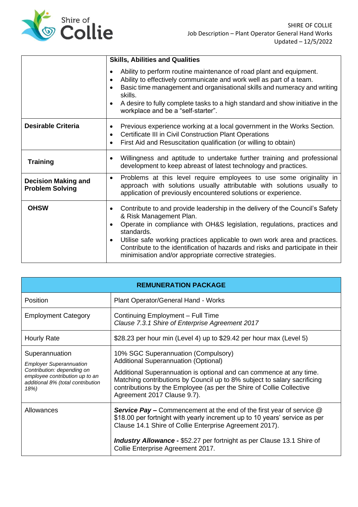

|                                                      | <b>Skills, Abilities and Qualities</b>                                                                                                                                                                                                                                                                                                                                                                                                              |
|------------------------------------------------------|-----------------------------------------------------------------------------------------------------------------------------------------------------------------------------------------------------------------------------------------------------------------------------------------------------------------------------------------------------------------------------------------------------------------------------------------------------|
|                                                      | Ability to perform routine maintenance of road plant and equipment.<br>٠<br>Ability to effectively communicate and work well as part of a team.<br>Basic time management and organisational skills and numeracy and writing<br>skills.<br>A desire to fully complete tasks to a high standard and show initiative in the<br>workplace and be a "self-starter".                                                                                      |
| <b>Desirable Criteria</b>                            | Previous experience working at a local government in the Works Section.<br>$\bullet$<br>Certificate III in Civil Construction Plant Operations<br>$\bullet$<br>First Aid and Resuscitation qualification (or willing to obtain)<br>٠                                                                                                                                                                                                                |
| <b>Training</b>                                      | Willingness and aptitude to undertake further training and professional<br>development to keep abreast of latest technology and practices.                                                                                                                                                                                                                                                                                                          |
| <b>Decision Making and</b><br><b>Problem Solving</b> | Problems at this level require employees to use some originality in<br>$\bullet$<br>approach with solutions usually attributable with solutions usually to<br>application of previously encountered solutions or experience.                                                                                                                                                                                                                        |
| <b>OHSW</b>                                          | Contribute to and provide leadership in the delivery of the Council's Safety<br>$\bullet$<br>& Risk Management Plan.<br>Operate in compliance with OH&S legislation, regulations, practices and<br>standards.<br>Utilise safe working practices applicable to own work area and practices.<br>$\bullet$<br>Contribute to the identification of hazards and risks and participate in their<br>minimisation and/or appropriate corrective strategies. |

| <b>REMUNERATION PACKAGE</b>                                                                                                                                   |                                                                                                                                                                                                                                                                                                               |  |
|---------------------------------------------------------------------------------------------------------------------------------------------------------------|---------------------------------------------------------------------------------------------------------------------------------------------------------------------------------------------------------------------------------------------------------------------------------------------------------------|--|
| Position                                                                                                                                                      | Plant Operator/General Hand - Works                                                                                                                                                                                                                                                                           |  |
| <b>Employment Category</b>                                                                                                                                    | Continuing Employment - Full Time<br>Clause 7.3.1 Shire of Enterprise Agreement 2017                                                                                                                                                                                                                          |  |
| Hourly Rate                                                                                                                                                   | \$28.23 per hour min (Level 4) up to \$29.42 per hour max (Level 5)                                                                                                                                                                                                                                           |  |
| Superannuation<br><b>Employer Superannuation</b><br>Contribution: depending on<br>employee contribution up to an<br>additional 8% (total contribution<br>18%) | 10% SGC Superannuation (Compulsory)<br><b>Additional Superannuation (Optional)</b><br>Additional Superannuation is optional and can commence at any time.<br>Matching contributions by Council up to 8% subject to salary sacrificing<br>contributions by the Employee (as per the Shire of Collie Collective |  |
|                                                                                                                                                               | Agreement 2017 Clause 9.7).                                                                                                                                                                                                                                                                                   |  |
| Allowances                                                                                                                                                    | <b>Service Pay –</b> Commencement at the end of the first year of service @<br>\$18.00 per fortnight with yearly increment up to 10 years' service as per<br>Clause 14.1 Shire of Collie Enterprise Agreement 2017).                                                                                          |  |
|                                                                                                                                                               | <b>Industry Allowance - \$52.27 per fortnight as per Clause 13.1 Shire of</b><br>Collie Enterprise Agreement 2017.                                                                                                                                                                                            |  |